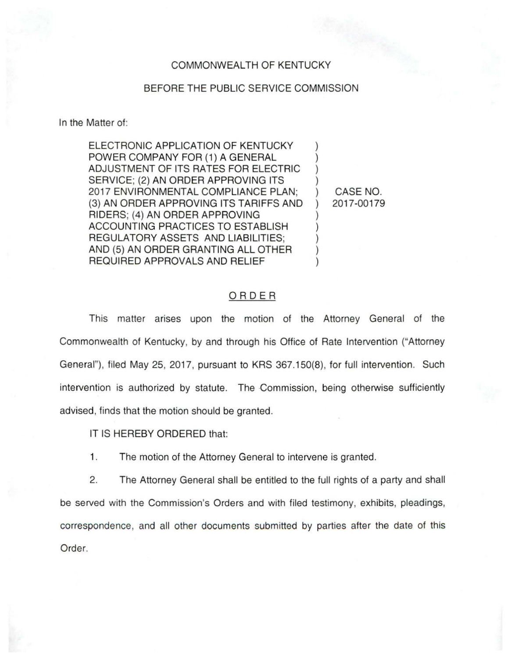## COMMONWEALTH OF KENTUCKY

## BEFORE THE PUBLIC SERVICE COMMISSION

In the Matter of:

ELECTRONIC APPLICATION OF KENTUCKY POWER COMPANY FOR (1) A GENERAL ADJUSTMENT OF ITS RATES FOR ELECTRIC ) SERVICE: (2) AN ORDER APPROVING ITS 2017 ENVIRONMENTAL COMPLIANCE PLAN; ) CASE NO. (3) AN ORDER APPROVING ITS TARIFFS AND ) 2017-00179 RIDERS; (4) AN ORDER APPROVING ) ACCOUNTING PRACTICES TO ESTABLISH ) REGULATORY ASSETS AND LIABILITIES: AND (5) AN ORDER GRANTING ALL OTHER REQUIRED APPROVALS AND RELIEF )

## ORDER

This matter arises upon the motion of the Attorney General of the Commonwealth of Kentucky, by and through his Office of Rate Intervention ("Attorney General"), filed May 25, 2017, pursuant to KRS 367.150(8), for full intervention. Such intervention is authorized by statute. The Commission, being otherwise sufficiently advised, finds that the motion should be granted.

IT IS HEREBY ORDERED that:

1. The motion of the Attorney General to intervene is granted.

2. The Attorney General shall be entitled to the full rights of a party and shall be served with the Commission's Orders and with filed testimony, exhibits, pleadings, correspondence, and all other documents submitted by parties after the date of this Order.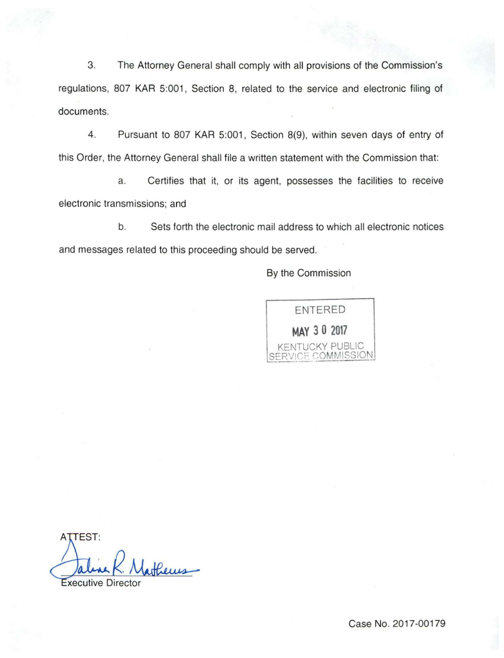3. The Attorney General shall comply with all provisions of the Commission's regulations, 807 KAR 5:001, Section 8, related to the service and electronic filing of documents.

4. Pursuant to 807 KAR 5:001, Section 8(9), within seven days of entry of this Order, the Attorney General shall file a written statement with the Commission that:

a. Certifies that it, or its agent, possesses the facilities to receive electronic transmissions; and

b. Sets forth the electronic mail address to which all electronic notices and messages related to this proceeding should be served.

By the Commission



**ATTEST:** Precus-

**Executive Director**